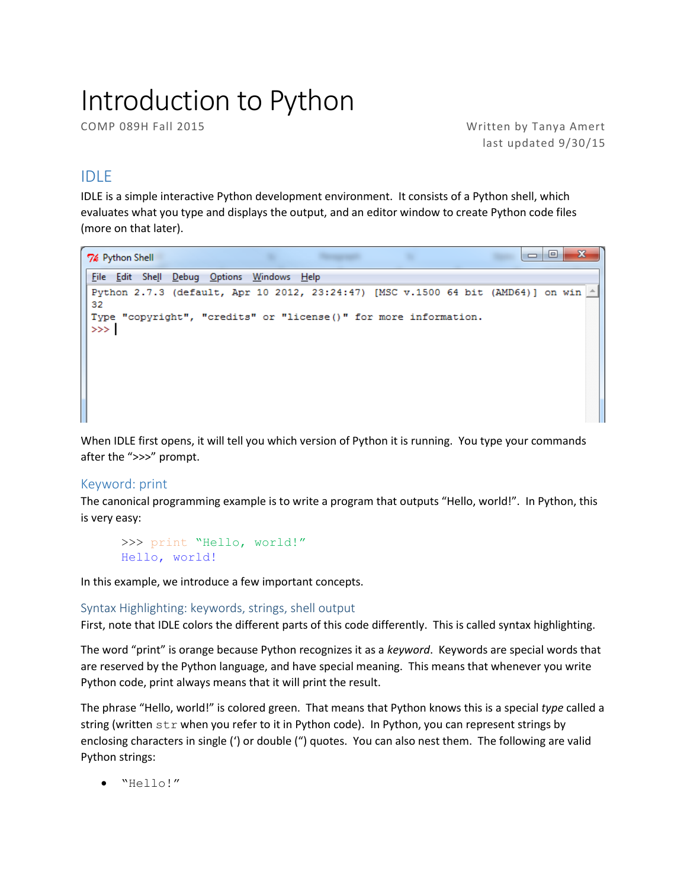# Introduction to Python

COMP 089H Fall 2015 Written by Tanya Amert last updated 9/30/15

# IDLE

IDLE is a simple interactive Python development environment. It consists of a Python shell, which evaluates what you type and displays the output, and an editor window to create Python code files (more on that later).

```
\begin{array}{c|c|c|c|c} \hline \multicolumn{3}{c|}{\textbf{0}} & \multicolumn{3}{c|}{\textbf{0}} \\\hline \multicolumn{3}{c|}{\textbf{0}} & \multicolumn{3}{c|}{\textbf{0}} \end{array}7% Python Shell
 File Edit Shell Debug Options Windows Help
 Python 2.7.3 (default, Apr 10 2012, 23:24:47) [MSC v.1500 64 bit (AMD64)] on win ^*32
 Type "copyright", "credits" or "license ()" for more information.
 >>>∣
```
When IDLE first opens, it will tell you which version of Python it is running. You type your commands after the ">>>" prompt.

# Keyword: print

The canonical programming example is to write a program that outputs "Hello, world!". In Python, this is very easy:

```
>>> print "Hello, world!"
Hello, world!
```
In this example, we introduce a few important concepts.

# Syntax Highlighting: keywords, strings, shell output

First, note that IDLE colors the different parts of this code differently. This is called syntax highlighting.

The word "print" is orange because Python recognizes it as a *keyword*. Keywords are special words that are reserved by the Python language, and have special meaning. This means that whenever you write Python code, print always means that it will print the result.

The phrase "Hello, world!" is colored green. That means that Python knows this is a special *type* called a string (written str when you refer to it in Python code). In Python, you can represent strings by enclosing characters in single (') or double (") quotes. You can also nest them. The following are valid Python strings:

"Hello!"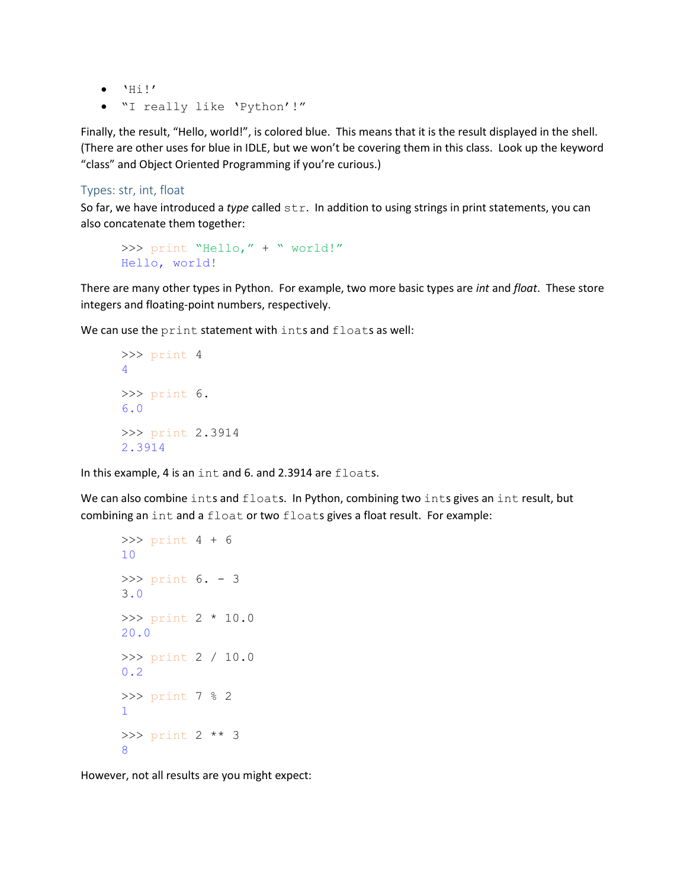- $\bullet$  'Hi!'
- "I really like 'Python'!"

Finally, the result, "Hello, world!", is colored blue. This means that it is the result displayed in the shell. (There are other uses for blue in IDLE, but we won't be covering them in this class. Look up the keyword "class" and Object Oriented Programming if you're curious.)

#### Types: str, int, float

So far, we have introduced a *type* called str. In addition to using strings in print statements, you can also concatenate them together:

```
>>> print "Hello," + " world!"
Hello, world!
```
There are many other types in Python. For example, two more basic types are *int* and *float*. These store integers and floating-point numbers, respectively.

We can use the print statement with ints and floats as well:

```
>>> print 4
4
>>> print 6.
6.0
>>> print 2.3914
2.3914
```
In this example, 4 is an int and 6. and 2.3914 are floats.

We can also combine ints and floats. In Python, combining two ints gives an int result, but combining an int and a float or two floats gives a float result. For example:

```
>>> print 4 + 6
10
>>> print 6. - 3
3.0
>>> print 2 * 10.0
20.0
>>> print 2 / 10.0
0.2
>>> print 7 % 2
1
>>> print 2 ** 3
8
```
However, not all results are you might expect: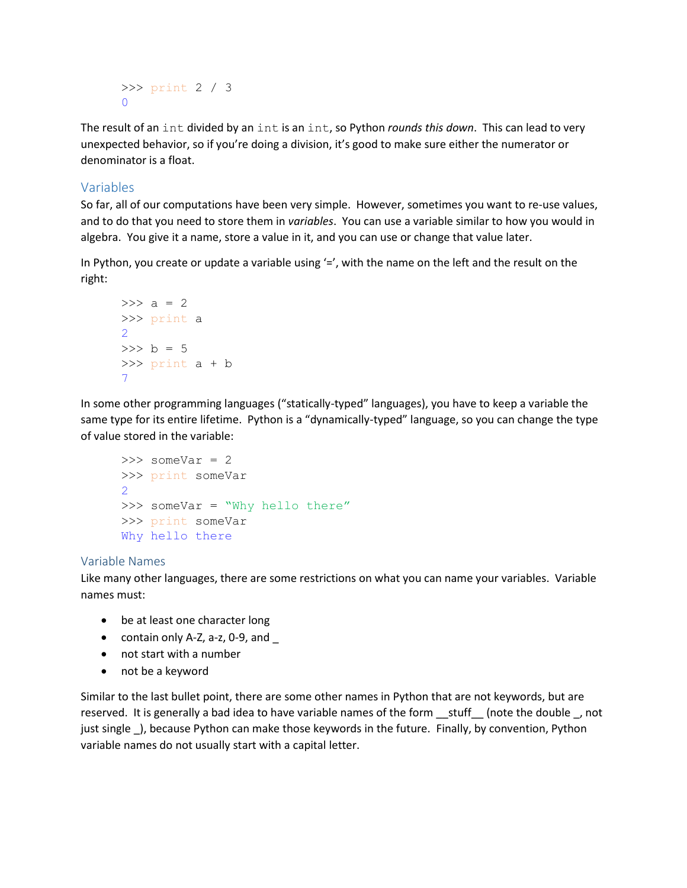```
>>> print 2 / 3
\Omega
```
The result of an int divided by an int is an int, so Python *rounds this down*. This can lead to very unexpected behavior, so if you're doing a division, it's good to make sure either the numerator or denominator is a float.

# Variables

So far, all of our computations have been very simple. However, sometimes you want to re-use values, and to do that you need to store them in *variables*. You can use a variable similar to how you would in algebra. You give it a name, store a value in it, and you can use or change that value later.

In Python, you create or update a variable using  $=$ , with the name on the left and the result on the right:

```
>> a = 2
>>> print a
2
>> b = 5
>>> print a + b
7
```
In some other programming languages ("statically-typed" languages), you have to keep a variable the same type for its entire lifetime. Python is a "dynamically-typed" language, so you can change the type of value stored in the variable:

```
\gg someVar = 2
>>> print someVar
2
>>> someVar = "Why hello there"
>>> print someVar
Why hello there
```
#### Variable Names

Like many other languages, there are some restrictions on what you can name your variables. Variable names must:

- be at least one character long
- contain only A-Z, a-z, 0-9, and  $\_$
- not start with a number
- not be a keyword

Similar to the last bullet point, there are some other names in Python that are not keywords, but are reserved. It is generally a bad idea to have variable names of the form \_\_stuff \_\_\_ (note the double \_, not just single ), because Python can make those keywords in the future. Finally, by convention, Python variable names do not usually start with a capital letter.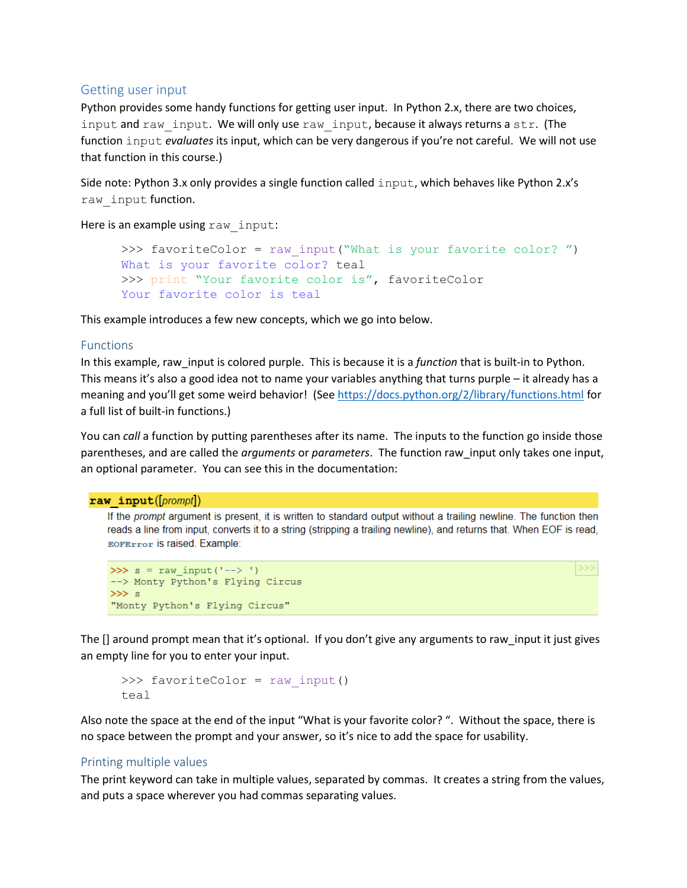# Getting user input

Python provides some handy functions for getting user input. In Python 2.x, there are two choices, input and raw input. We will only use raw input, because it always returns a str. (The function input *evaluates* its input, which can be very dangerous if you're not careful. We will not use that function in this course.)

Side note: Python 3.x only provides a single function called input, which behaves like Python 2.x's raw input function.

Here is an example using raw input:

```
>>> favoriteColor = raw input ("What is your favorite color? ")
What is your favorite color? teal
>>> print "Your favorite color is", favoriteColor
Your favorite color is teal
```
This example introduces a few new concepts, which we go into below.

## Functions

In this example, raw\_input is colored purple. This is because it is a *function* that is built-in to Python. This means it's also a good idea not to name your variables anything that turns purple – it already has a meaning and you'll get some weird behavior! (See<https://docs.python.org/2/library/functions.html> for a full list of built-in functions.)

You can *call* a function by putting parentheses after its name. The inputs to the function go inside those parentheses, and are called the *arguments* or *parameters*. The function raw\_input only takes one input, an optional parameter. You can see this in the documentation:

#### $raw input([prompt])$

If the prompt argument is present, it is written to standard output without a trailing newline. The function then reads a line from input, converts it to a string (stripping a trailing newline), and returns that. When EOF is read, **EOFError** is raised. Example:

 $>>$ 

```
>>> s = raw input('-->')--> Monty Python's Flying Circus
\gg s
"Monty Python's Flying Circus"
```
The [] around prompt mean that it's optional. If you don't give any arguments to raw\_input it just gives an empty line for you to enter your input.

```
>>> favoriteColor = raw input()
teal
```
Also note the space at the end of the input "What is your favorite color? ". Without the space, there is no space between the prompt and your answer, so it's nice to add the space for usability.

#### Printing multiple values

The print keyword can take in multiple values, separated by commas. It creates a string from the values, and puts a space wherever you had commas separating values.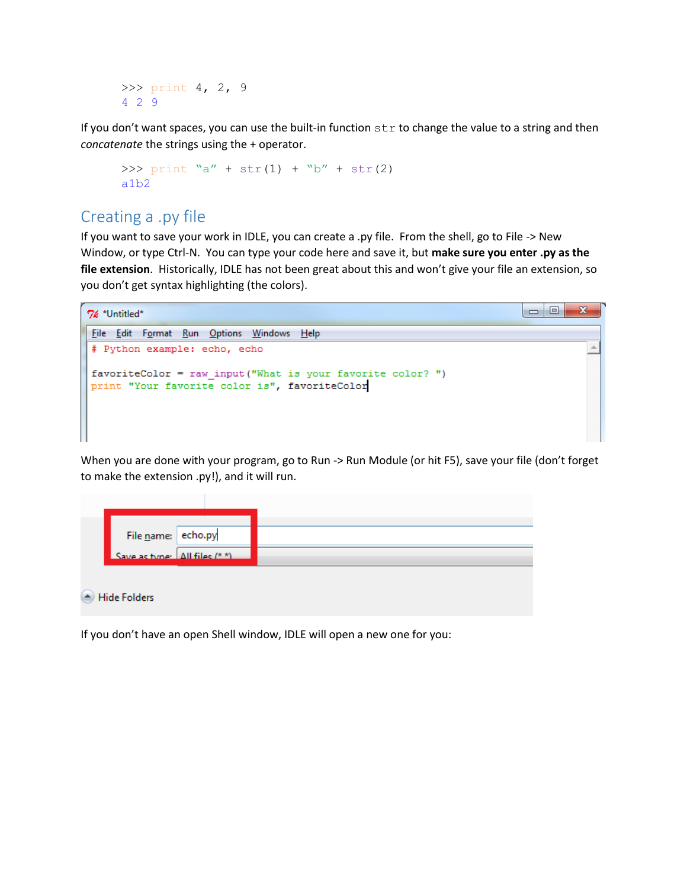>>> print 4, 2, 9 4 2 9

If you don't want spaces, you can use the built-in function  $str$  to change the value to a string and then *concatenate* the strings using the + operator.

```
>>> print "a" + str(1) + "b" + str(2)
a1b2
```
# Creating a .py file

If you want to save your work in IDLE, you can create a .py file. From the shell, go to File -> New Window, or type Ctrl-N. You can type your code here and save it, but **make sure you enter .py as the file extension**. Historically, IDLE has not been great about this and won't give your file an extension, so you don't get syntax highlighting (the colors).

```
\overline{\phantom{a}} \overline{\phantom{a}}x
7% *Untitled*
File Edit Format Run Options Windows Help
 # Python example: echo, echo
                                                                                                        \DeltafavoriteColor = raw_input("What is your favorite color? ")
print "Your favorite color is", favoriteColor
```
When you are done with your program, go to Run -> Run Module (or hit F5), save your file (don't forget to make the extension .py!), and it will run.

| File name: echo.py            |  |
|-------------------------------|--|
| Save as type: All files (* *) |  |

If you don't have an open Shell window, IDLE will open a new one for you: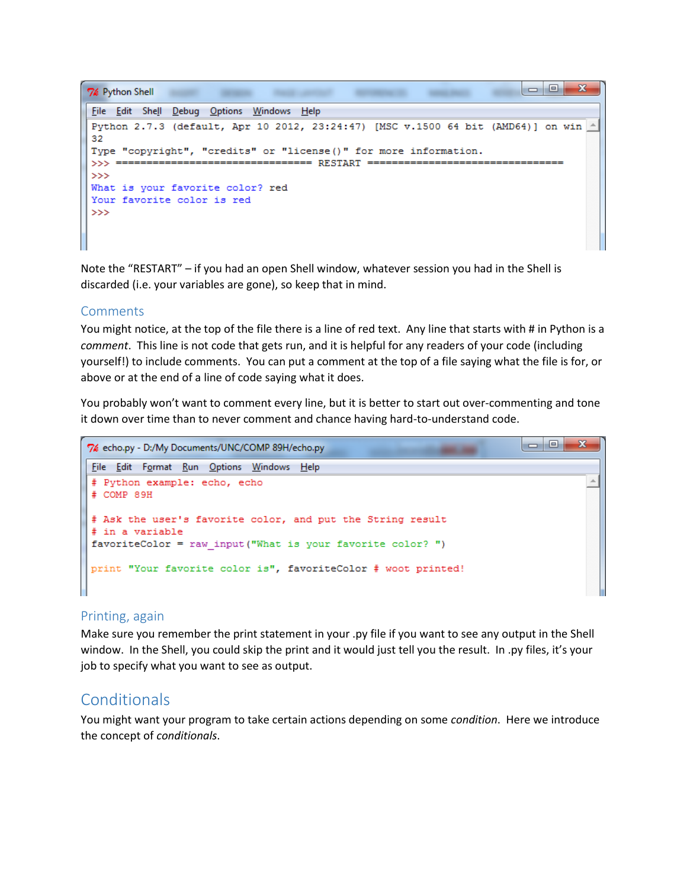```
\Box-23
76 Python Shell
                   CONTRACTOR
                                       REPORT FOR THE VIOLATICS
                                                  SERVICE
File Edit Shell Debug Options Windows Help
Python 2.7.3 (default, Apr 10 2012, 23:24:47) [MSC v.1500 64 bit (AMD64)] on win
32
Type "copyright", "credits" or "license()" for more information.
\ggWhat is your favorite color? red
Your favorite color is red
>>
```
Note the "RESTART" – if you had an open Shell window, whatever session you had in the Shell is discarded (i.e. your variables are gone), so keep that in mind.

## Comments

You might notice, at the top of the file there is a line of red text. Any line that starts with # in Python is a *comment*. This line is not code that gets run, and it is helpful for any readers of your code (including yourself!) to include comments. You can put a comment at the top of a file saying what the file is for, or above or at the end of a line of code saying what it does.

You probably won't want to comment every line, but it is better to start out over-commenting and tone it down over time than to never comment and chance having hard-to-understand code.

```
\Boxe
7% echo.py - D:/My Documents/UNC/COMP 89H/echo.py
File Edit Format Run Options Windows Help
# Python example: echo, echo
                                                                                         \overline{a}# COMP 89H
# Ask the user's favorite color, and put the String result
# in a variable
favoriteColor = raw input ("What is your favorite color? ")
print "Your favorite color is", favoriteColor # woot printed!
```
# Printing, again

Make sure you remember the print statement in your .py file if you want to see any output in the Shell window. In the Shell, you could skip the print and it would just tell you the result. In .py files, it's your job to specify what you want to see as output.

# **Conditionals**

You might want your program to take certain actions depending on some *condition*. Here we introduce the concept of *conditionals*.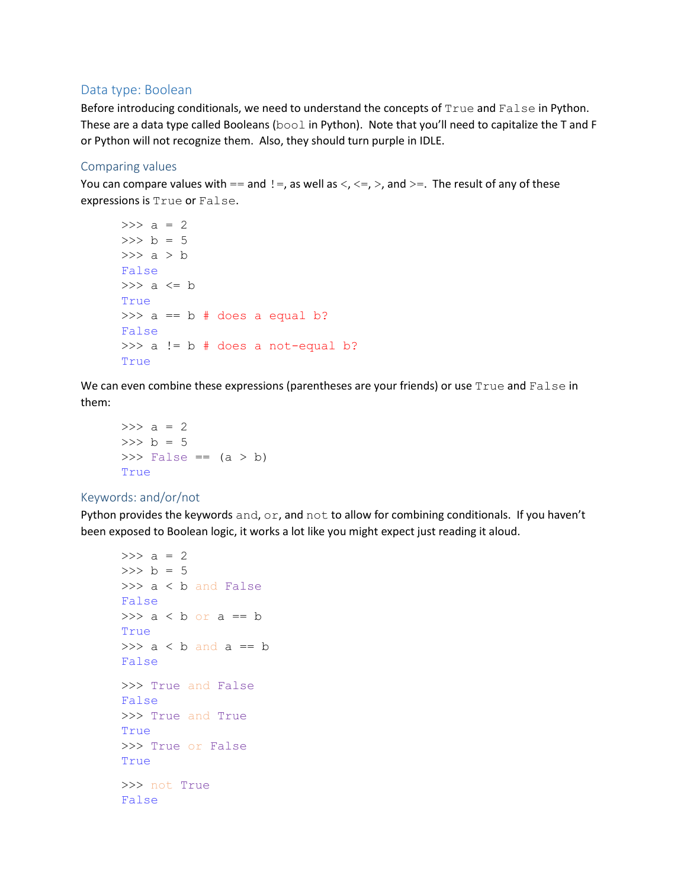# Data type: Boolean

Before introducing conditionals, we need to understand the concepts of True and False in Python. These are a data type called Booleans (bool in Python). Note that you'll need to capitalize the T and F or Python will not recognize them. Also, they should turn purple in IDLE.

#### Comparing values

You can compare values with  $==$  and  $!=$ , as well as  $\lt$ ,  $\lt =$ ,  $>$ , and  $>=$ . The result of any of these expressions is True or False.

```
>> a = 2
>> b = 5
\gg a > b
False
>>> a <= b
True
\gg a == b # does a equal b?
False
\gg a != b # does a not-equal b?
True
```
We can even combine these expressions (parentheses are your friends) or use True and False in them:

```
>> a = 2
>> b = 5
\Rightarrow False == (a > b)True
```
#### Keywords: and/or/not

Python provides the keywords and,  $or$ , and not to allow for combining conditionals. If you haven't been exposed to Boolean logic, it works a lot like you might expect just reading it aloud.

```
>> a = 2
>> b = 5
>>> a < b and False
False
\gg a < b or a == b
True
\gg a < b and a == b
False
>>> True and False
False
>>> True and True
True
>>> True or False
True
>>> not True
False
```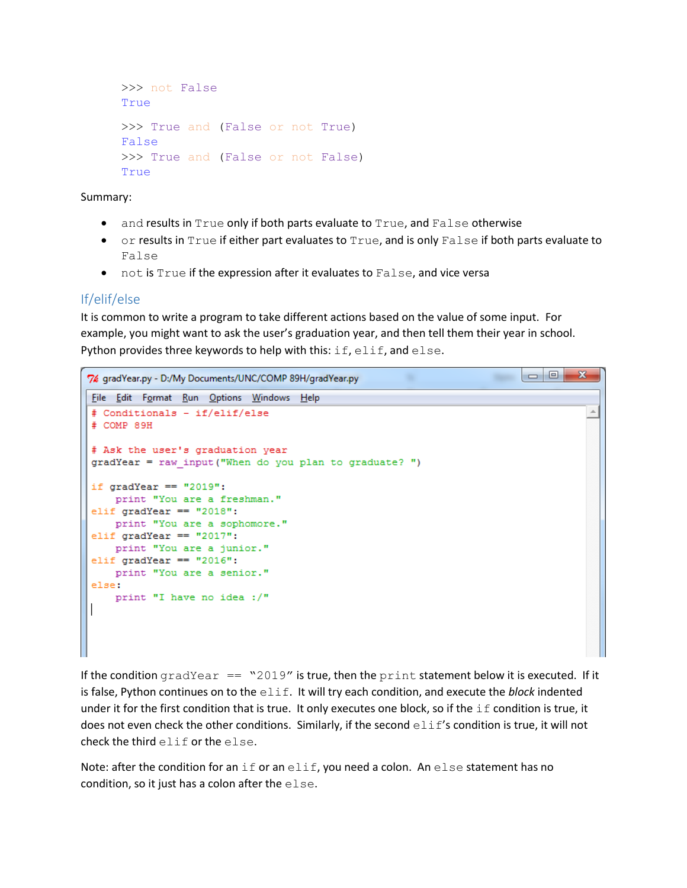```
>>> not False
True
>>> True and (False or not True)
False
>>> True and (False or not False)
True
```
Summary:

- and results in True only if both parts evaluate to True, and False otherwise
- or results in True if either part evaluates to True, and is only False if both parts evaluate to False
- not is True if the expression after it evaluates to False, and vice versa

# If/elif/else

It is common to write a program to take different actions based on the value of some input. For example, you might want to ask the user's graduation year, and then tell them their year in school. Python provides three keywords to help with this:  $\text{if,}$   $\text{elif,}$  and  $\text{else.}$ 

```
\overline{\phantom{a}}\overline{\phantom{a}}\mathbf{x}7% gradYear.py - D:/My Documents/UNC/COMP 89H/gradYear.py
File Edit Format Run Options Windows Help
                                                                                               \blacktriangle# Conditionals - if/elif/else
# COMP 89H
# Ask the user's graduation year
gradYear = raw_input("When do you plan to graduate? ")
if gradYear == "2019":print "You are a freshman."
elif gradYear == "2018":
    print "You are a sophomore."
elif gradYear == "2017":
    print "You are a junior."
elif gradYear == "2016":
    print "You are a senior."
else:
    print "I have no idea :/"
```
If the condition  $gradYear == "2019"$  is true, then the print statement below it is executed. If it is false, Python continues on to the elif. It will try each condition, and execute the *block* indented under it for the first condition that is true. It only executes one block, so if the  $if$  condition is true, it does not even check the other conditions. Similarly, if the second  $\in$  1 if's condition is true, it will not check the third elif or the else.

Note: after the condition for an if or an elif, you need a colon. An else statement has no condition, so it just has a colon after the else.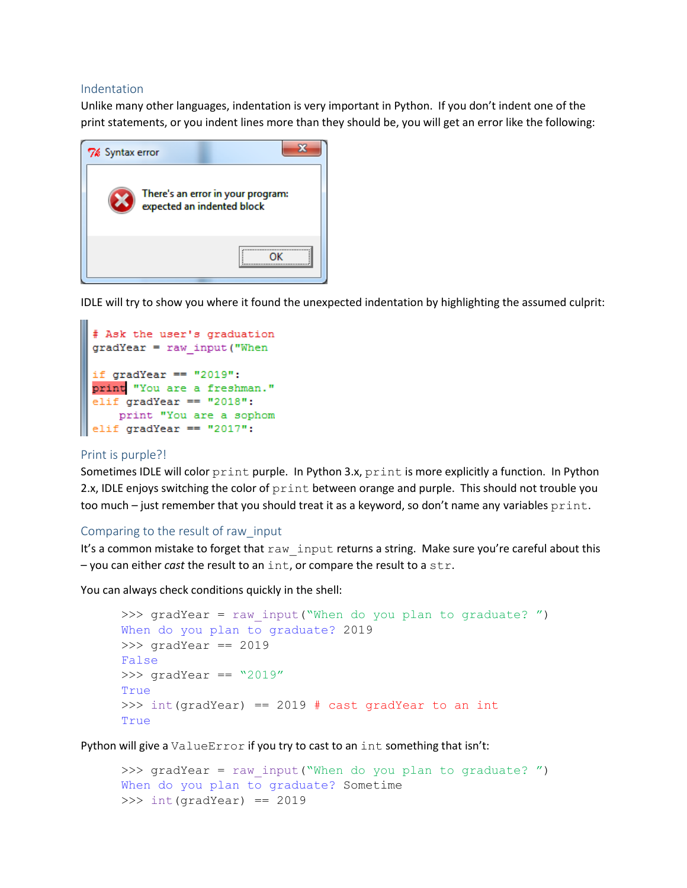#### Indentation

Unlike many other languages, indentation is very important in Python. If you don't indent one of the print statements, or you indent lines more than they should be, you will get an error like the following:

| 7% Syntax error |                                                                 |
|-----------------|-----------------------------------------------------------------|
|                 | There's an error in your program:<br>expected an indented block |
|                 |                                                                 |

IDLE will try to show you where it found the unexpected indentation by highlighting the assumed culprit:

```
# Ask the user's graduation
gradYear = raw input("Whenif gradYear == "2019":
print "You are a freshman."
elif gradYear == "2018":
   print "You are a sophom
elif gradYear == "2017":
```
#### Print is purple?!

Sometimes IDLE will color print purple. In Python 3.x, print is more explicitly a function. In Python 2.x, IDLE enjoys switching the color of print between orange and purple. This should not trouble you too much – just remember that you should treat it as a keyword, so don't name any variables print.

#### Comparing to the result of raw\_input

It's a common mistake to forget that raw input returns a string. Make sure you're careful about this – you can either *cast* the result to an int, or compare the result to a str.

You can always check conditions quickly in the shell:

```
>>> gradYear = raw_input("When do you plan to graduate? ")
When do you plan to graduate? 2019
>>> gradYear == 2019
False
\gg gradYear == "2019"
True
>>> int(qradYear) == 2019 # cast gradYear to an int
True
```
Python will give a ValueError if you try to cast to an int something that isn't:

```
>>> gradYear = raw input("When do you plan to graduate? ")
When do you plan to graduate? Sometime
>>> int(gradYear) == 2019
```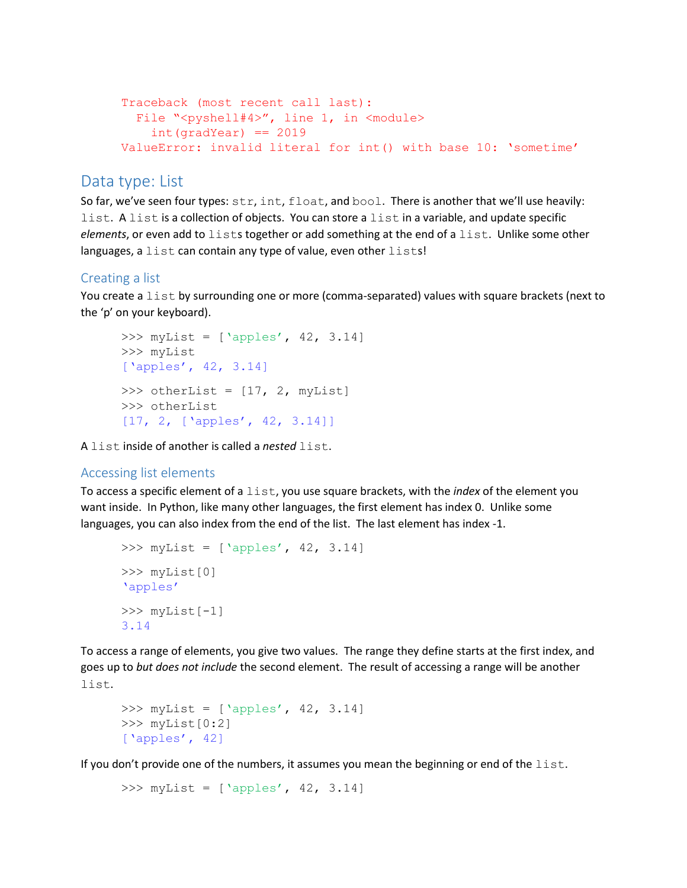```
Traceback (most recent call last):
 File "<pyshell#4>", line 1, in <module>
    int(qradYear) == 2019ValueError: invalid literal for int() with base 10: 'sometime'
```
# Data type: List

So far, we've seen four types:  $str$ , int,  $float$ , and  $bool$ . There is another that we'll use heavily: list. A list is a collection of objects. You can store a list in a variable, and update specific *elements*, or even add to lists together or add something at the end of a list. Unlike some other languages, a list can contain any type of value, even other lists!

# Creating a list

You create a list by surrounding one or more (comma-separated) values with square brackets (next to the 'p' on your keyboard).

```
\gg myList = ['apples', 42, 3.14]
>>> myList
['apples', 42, 3.14]
>>> otherList = [17, 2, myList]
>>> otherList
[17, 2, ['apples', 42, 3.14]]
```
A list inside of another is called a *nested* list.

# Accessing list elements

To access a specific element of a list, you use square brackets, with the *index* of the element you want inside. In Python, like many other languages, the first element has index 0. Unlike some languages, you can also index from the end of the list. The last element has index -1.

```
\gg myList = ['apples', 42, 3.14]
>>> myList[0]
'apples'
>>> myList[-1]
3.14
```
To access a range of elements, you give two values. The range they define starts at the first index, and goes up to *but does not include* the second element. The result of accessing a range will be another list.

```
\gg myList = ['apples', 42, 3.14]
>>> myList[0:2]
['apples', 42]
```
If you don't provide one of the numbers, it assumes you mean the beginning or end of the  $list.$ 

```
>>> myList = ['apples', 42, 3.14]
```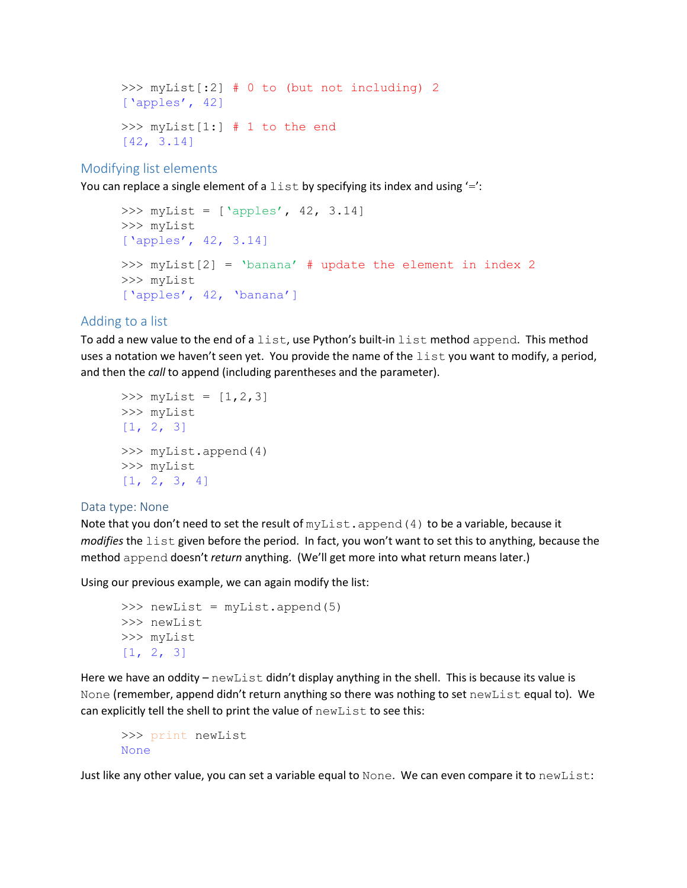```
>>> myList[:2] # 0 to (but not including) 2
['apples', 42]
>>> myList[1:] # 1 to the end
[42, 3.14]
```
Modifying list elements

You can replace a single element of a  $list$  by specifying its index and using  $'=$ :

```
\gg myList = ['apples', 42, 3.14]
>>> myList
['apples', 42, 3.14]
>>> myList[2] = 'banana' # update the element in index 2
>>> myList
['apples', 42, 'banana']
```
# Adding to a list

To add a new value to the end of a list, use Python's built-in list method append. This method uses a notation we haven't seen yet. You provide the name of the  $list$  you want to modify, a period, and then the *call* to append (including parentheses and the parameter).

```
\gg myList = [1, 2, 3]>>> myList
[1, 2, 3]>>> myList.append(4)
>>> myList
[1, 2, 3, 4]
```
#### Data type: None

Note that you don't need to set the result of  $myList.append(4)$  to be a variable, because it *modifies* the list given before the period. In fact, you won't want to set this to anything, because the method append doesn't *return* anything. (We'll get more into what return means later.)

Using our previous example, we can again modify the list:

```
>>> newList = myList.append(5)
>>> newList
>>> myList
[1, 2, 3]
```
Here we have an oddity  $-\text{newList}$  didn't display anything in the shell. This is because its value is None (remember, append didn't return anything so there was nothing to set newList equal to). We can explicitly tell the shell to print the value of newList to see this:

```
>>> print newList
None
```
Just like any other value, you can set a variable equal to None. We can even compare it to newList: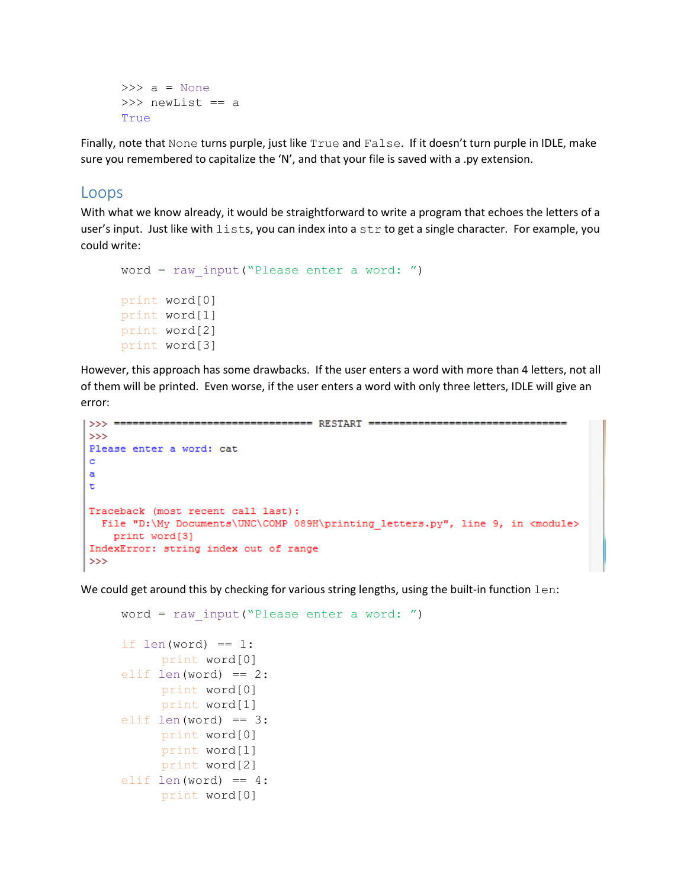```
>>> a = None
>>> newList == a
True
```
Finally, note that None turns purple, just like True and False. If it doesn't turn purple in IDLE, make sure you remembered to capitalize the 'N', and that your file is saved with a .py extension.

## Loops

With what we know already, it would be straightforward to write a program that echoes the letters of a user's input. Just like with  $lists$ , you can index into a  $str$  to get a single character. For example, you could write:

```
word = raw input ("Please enter a word: ")
print word[0]
print word[1]
print word[2]
print word[3]
```
However, this approach has some drawbacks. If the user enters a word with more than 4 letters, not all of them will be printed. Even worse, if the user enters a word with only three letters, IDLE will give an error:

```
|>>> ================================= RESTART =============
555Please enter a word: cat
\mathbf ca
\mathbf tTraceback (most recent call last):
 File "D:\My Documents\UNC\COMP 089H\printing letters.py", line 9, in <module>
    print word[3]
IndexError: string index out of range
>>
```
We could get around this by checking for various string lengths, using the built-in function  $l$ en:

```
word = raw input ("Please enter a word: ")
if len(word) == 1:
     print word[0]
elif len(word) == 2:print word[0]
     print word[1]
elif len(word) == 3:print word[0]
     print word[1]
     print word[2]
elif len(word) == 4:
     print word[0]
```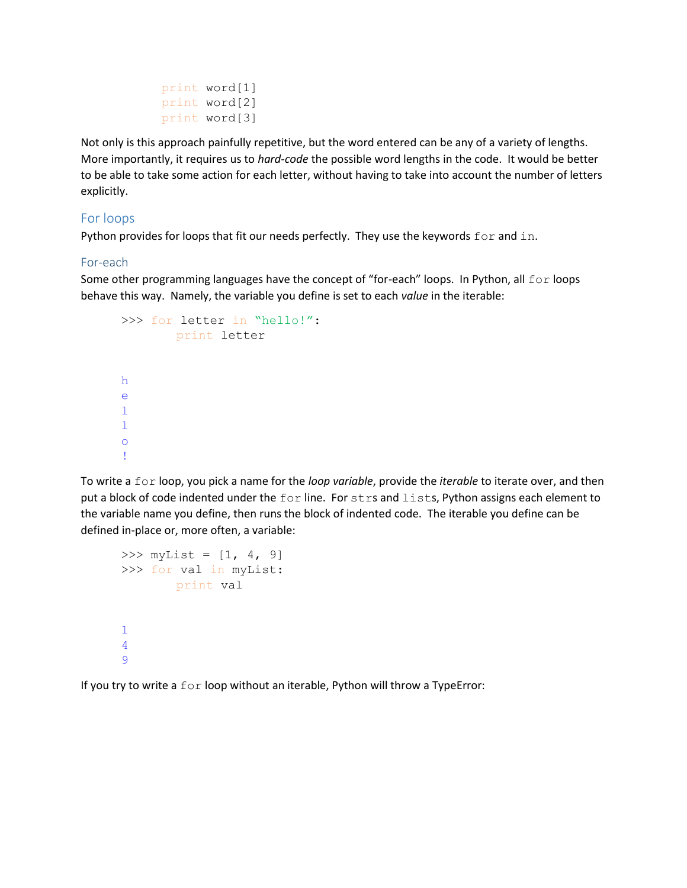```
print word[1]
print word[2]
print word[3]
```
Not only is this approach painfully repetitive, but the word entered can be any of a variety of lengths. More importantly, it requires us to *hard-code* the possible word lengths in the code. It would be better to be able to take some action for each letter, without having to take into account the number of letters explicitly.

## For loops

Python provides for loops that fit our needs perfectly. They use the keywords  $for$  and  $in$ .

#### For-each

Some other programming languages have the concept of "for-each" loops. In Python, all  $for$  loops behave this way. Namely, the variable you define is set to each *value* in the iterable:

```
>>> for letter in "hello!":
          print letter
h
e
\mathbf{1}\mathbf{1}o
!
```
To write a for loop, you pick a name for the *loop variable*, provide the *iterable* to iterate over, and then put a block of code indented under the for line. For strs and lists, Python assigns each element to the variable name you define, then runs the block of indented code. The iterable you define can be defined in-place or, more often, a variable:

```
>>> myList = [1, 4, 9]
>>> for val in myList:
        print val
1
4
9
```
If you try to write a for loop without an iterable, Python will throw a TypeError: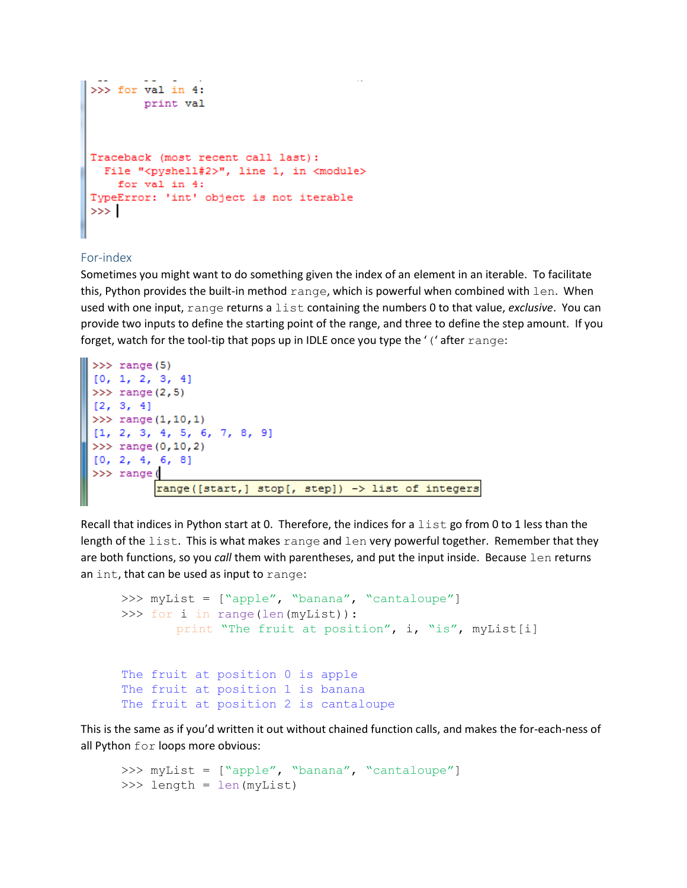```
>>> for val in 4:
        print val
Traceback (most recent call last):
 File "<pyshell#2>", line 1, in <module>
    for val in 4:
TypeError: 'int' object is not iterable
\gg
```
## For-index

Sometimes you might want to do something given the index of an element in an iterable. To facilitate this, Python provides the built-in method  $range$ , which is powerful when combined with  $len$ . When used with one input, range returns a list containing the numbers 0 to that value, *exclusive*. You can provide two inputs to define the starting point of the range, and three to define the step amount. If you forget, watch for the tool-tip that pops up in IDLE once you type the '(' after range:

```
>> range (5)
[0, 1, 2, 3, 4]>> range (2, 5)[2, 3, 4]>> range (1, 10, 1)[1, 2, 3, 4, 5, 6, 7, 8, 9]>> range (0, 10, 2)[0, 2, 4, 6, 8]>>> range(
         range([start,] stop[, step]) -> list of integers
```
Recall that indices in Python start at 0. Therefore, the indices for a  $list$  go from 0 to 1 less than the length of the list. This is what makes range and len very powerful together. Remember that they are both functions, so you *call* them with parentheses, and put the input inside. Because len returns an int, that can be used as input to range:

```
>>> myList = ["apple", "banana", "cantaloupe"]
>>> for i in range(len(myList)):
        print "The fruit at position", i, "is", myList[i]
The fruit at position 0 is apple
The fruit at position 1 is banana
The fruit at position 2 is cantaloupe
```
This is the same as if you'd written it out without chained function calls, and makes the for-each-ness of all Python for loops more obvious:

```
>>> myList = ["apple", "banana", "cantaloupe"]
>>> length = len(myList)
```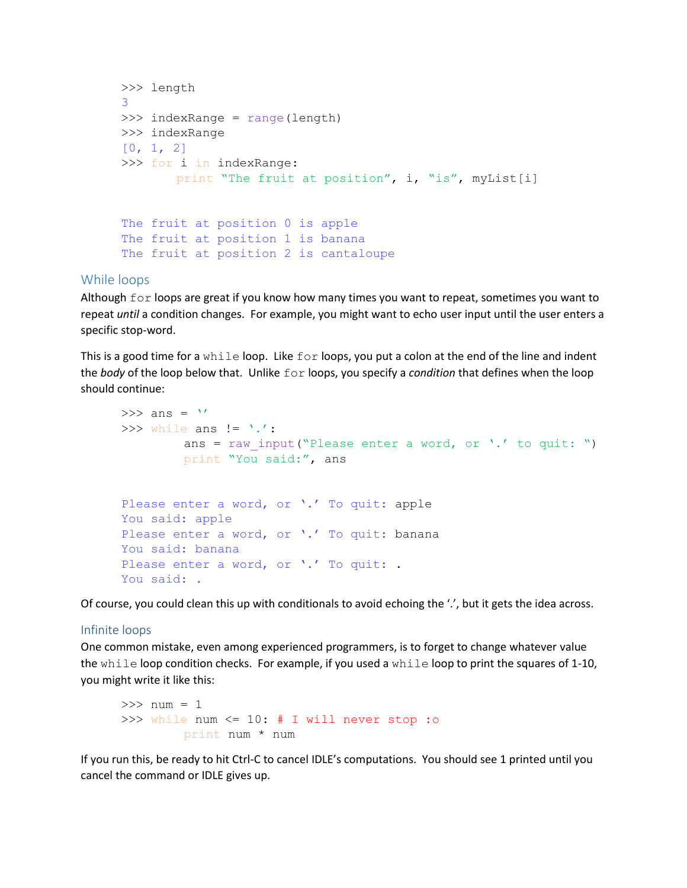```
>>> length
3
>>> indexRange = range(length)
>>> indexRange
[0, 1, 2]
>>> for i in indexRange:
       print "The fruit at position", i, "is", myList[i]
The fruit at position 0 is apple
The fruit at position 1 is banana
The fruit at position 2 is cantaloupe
```
# While loops

Although  $for$  loops are great if you know how many times you want to repeat, sometimes you want to repeat *until* a condition changes. For example, you might want to echo user input until the user enters a specific stop-word.

This is a good time for a while loop. Like  $for$  loops, you put a colon at the end of the line and indent the *body* of the loop below that. Unlike for loops, you specify a *condition* that defines when the loop should continue:

```
\gg ans = '>>> while ans != '.':
        ans = raw input ("Please enter a word, or '.' to quit: ")
         print "You said:", ans
Please enter a word, or '.' To quit: apple
You said: apple
Please enter a word, or '.' To quit: banana
You said: banana
Please enter a word, or '.' To quit: .
You said: .
```
Of course, you could clean this up with conditionals to avoid echoing the '.', but it gets the idea across.

#### Infinite loops

One common mistake, even among experienced programmers, is to forget to change whatever value the while loop condition checks. For example, if you used a while loop to print the squares of 1-10, you might write it like this:

```
>> num = 1
>>> while num <= 10: # I will never stop :o
         print num * num
```
If you run this, be ready to hit Ctrl-C to cancel IDLE's computations. You should see 1 printed until you cancel the command or IDLE gives up.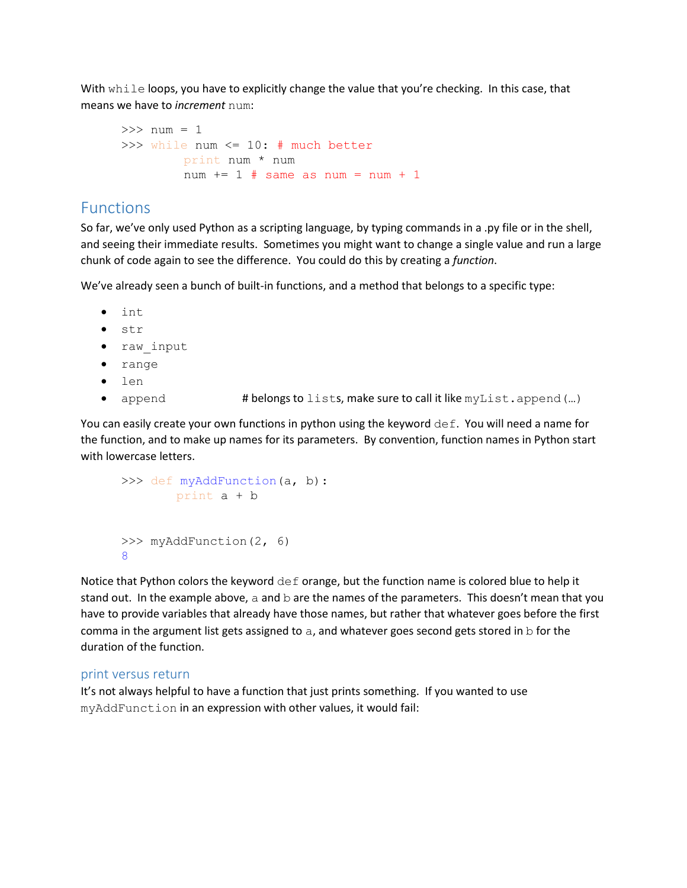With while loops, you have to explicitly change the value that you're checking. In this case, that means we have to *increment* num:

```
>> num = 1
>>> while num <= 10: # much better
         print num * num
        num += 1 # same as num = num + 1
```
# Functions

So far, we've only used Python as a scripting language, by typing commands in a .py file or in the shell, and seeing their immediate results. Sometimes you might want to change a single value and run a large chunk of code again to see the difference. You could do this by creating a *function*.

We've already seen a bunch of built-in functions, and a method that belongs to a specific type:

- int
- str
- raw input
- range
- len
- append # belongs to lists, make sure to call it like myList.append(...)

You can easily create your own functions in python using the keyword  $\det$ . You will need a name for the function, and to make up names for its parameters. By convention, function names in Python start with lowercase letters.

```
>>> def myAddFunction(a, b):
        print a + b
>>> myAddFunction(2, 6)
8
```
Notice that Python colors the keyword def orange, but the function name is colored blue to help it stand out. In the example above, a and  $b$  are the names of the parameters. This doesn't mean that you have to provide variables that already have those names, but rather that whatever goes before the first comma in the argument list gets assigned to  $a$ , and whatever goes second gets stored in  $b$  for the duration of the function.

# print versus return

It's not always helpful to have a function that just prints something. If you wanted to use myAddFunction in an expression with other values, it would fail: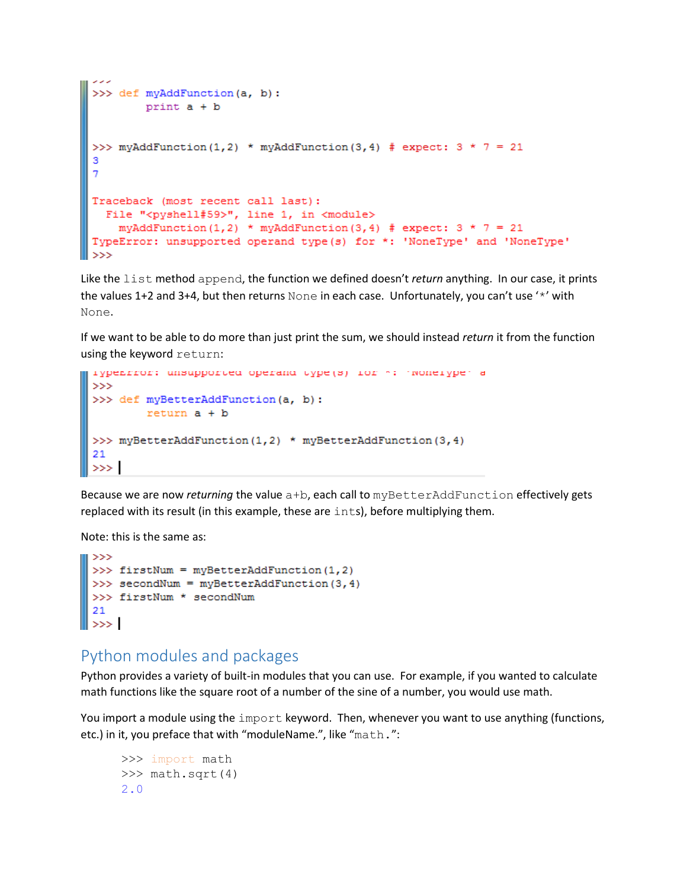```
>>> def myAddFunction(a, b):
         print a + b>>> myAddFunction(1,2) * myAddFunction(3,4) # expect: 3 * 7 = 213
 \overline{7}Traceback (most recent call last):
  File "<pyshell#59>", line 1, in <module>
     myAddFunction(1,2) * myAddFunction(3,4) # expect: 3 * 7 = 21TypeError: unsupported operand type(s) for *: 'NoneType' and 'NoneType'
ll >>>
```
Like the list method append, the function we defined doesn't *return* anything. In our case, it prints the values 1+2 and 3+4, but then returns None in each case. Unfortunately, you can't use '\*' with None.

If we want to be able to do more than just print the sum, we should instead *return* it from the function using the keyword return:

```
rypenfror: unsupported operand type(s) for m: moneryper a
>>>>> def myBetterAddFunction(a, b):
       return a + b>>> myBetterAddFunction(1,2) * myBetterAddFunction(3,4)
21
\gg 1
```
Because we are now *returning* the value a+b, each call to myBetterAddFunction effectively gets replaced with its result (in this example, these are ints), before multiplying them.

Note: this is the same as:

```
\gg>>> firstNum = myBetterAddFunction(1,2)
>>> secondNum = myBetterAddFunction(3,4)
>>> firstNum * secondNum
21
\gg
```
# Python modules and packages

Python provides a variety of built-in modules that you can use. For example, if you wanted to calculate math functions like the square root of a number of the sine of a number, you would use math.

You import a module using the import keyword. Then, whenever you want to use anything (functions, etc.) in it, you preface that with "moduleName.", like "math.":

```
>>> import math
>>> math.sqrt(4)
2.0
```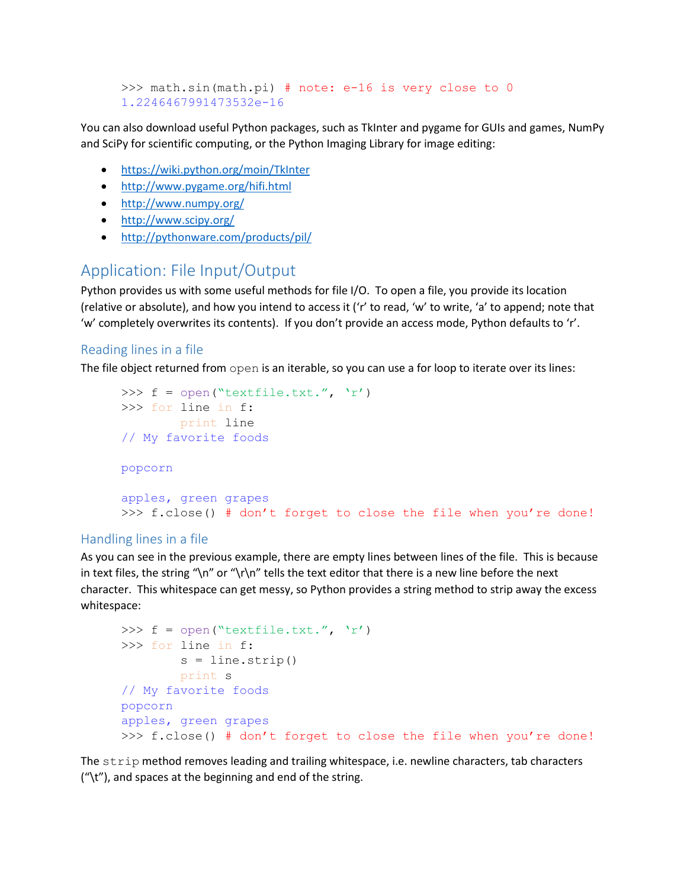```
>>> math.sin(math.pi) # note: e-16 is very close to 0
1.2246467991473532e-16
```
You can also download useful Python packages, such as TkInter and pygame for GUIs and games, NumPy and SciPy for scientific computing, or the Python Imaging Library for image editing:

- <https://wiki.python.org/moin/TkInter>
- <http://www.pygame.org/hifi.html>
- <http://www.numpy.org/>
- <http://www.scipy.org/>
- <http://pythonware.com/products/pil/>

# Application: File Input/Output

Python provides us with some useful methods for file I/O. To open a file, you provide its location (relative or absolute), and how you intend to access it ('r' to read, 'w' to write, 'a' to append; note that 'w' completely overwrites its contents). If you don't provide an access mode, Python defaults to 'r'.

# Reading lines in a file

The file object returned from open is an iterable, so you can use a for loop to iterate over its lines:

```
>>> f = open("textfile.txt."," 'r')>>> for line in f:
         print line
// My favorite foods
popcorn
apples, green grapes
>>> f.close() # don't forget to close the file when you're done!
```
# Handling lines in a file

As you can see in the previous example, there are empty lines between lines of the file. This is because in text files, the string "\n" or "\r\n" tells the text editor that there is a new line before the next character. This whitespace can get messy, so Python provides a string method to strip away the excess whitespace:

```
>>> f = open("textfile.txt."," 'r')>>> for line in f:
        s = line.start(p() print s
// My favorite foods
popcorn
apples, green grapes
>>> f.close() # don't forget to close the file when you're done!
```
The strip method removes leading and trailing whitespace, i.e. newline characters, tab characters ("\t"), and spaces at the beginning and end of the string.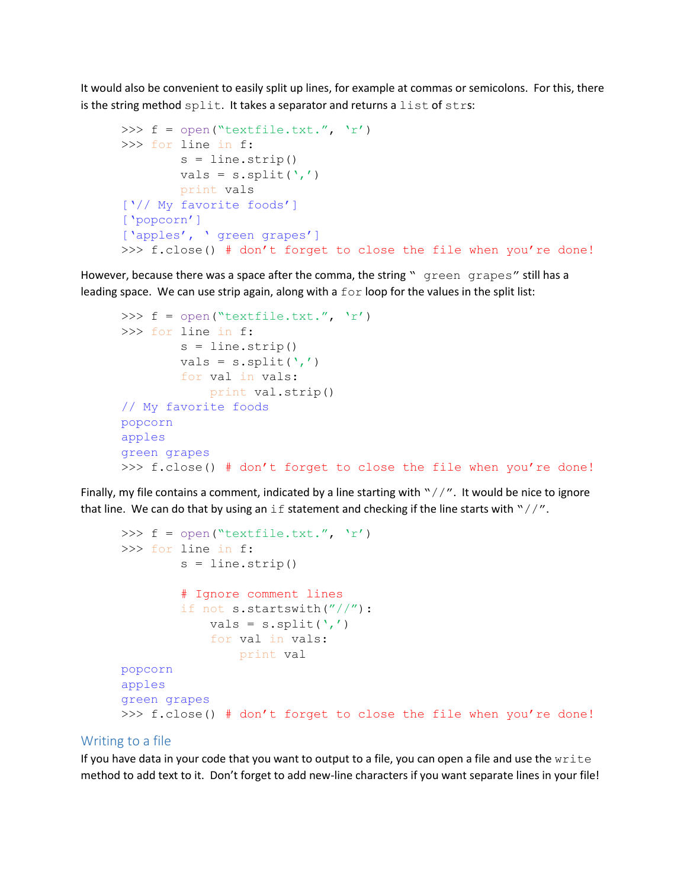It would also be convenient to easily split up lines, for example at commas or semicolons. For this, there is the string method split. It takes a separator and returns a list of strs:

```
>>> f = open("textfile.txt."," 'r')>>> for line in f:
        s = line.start(p()vals = s.split(','') print vals
['// My favorite foods']
['popcorn']
['apples', ' green grapes']
>>> f.close() # don't forget to close the file when you're done!
```
However, because there was a space after the comma, the string " green grapes" still has a leading space. We can use strip again, along with a  $for$  loop for the values in the split list:

```
>>> f = open("textfile.txt."," 'r')>>> for line in f:
        s = line.start(p()vals = s.split(','') for val in vals:
             print val.strip()
// My favorite foods
popcorn
apples
green grapes
>>> f.close() # don't forget to close the file when you're done!
```
Finally, my file contains a comment, indicated by a line starting with " $//''$ . It would be nice to ignore that line. We can do that by using an if statement and checking if the line starts with " $//''$ .

```
>>> f = open("textfile.txt."," 'r')>>> for line in f:
        s = line.start(p() # Ignore comment lines
         if not s.startswith("//"):
            vals = s.split(','') for val in vals:
                 print val
popcorn
apples
green grapes
>>> f.close() # don't forget to close the file when you're done!
```
#### Writing to a file

If you have data in your code that you want to output to a file, you can open a file and use the write method to add text to it. Don't forget to add new-line characters if you want separate lines in your file!